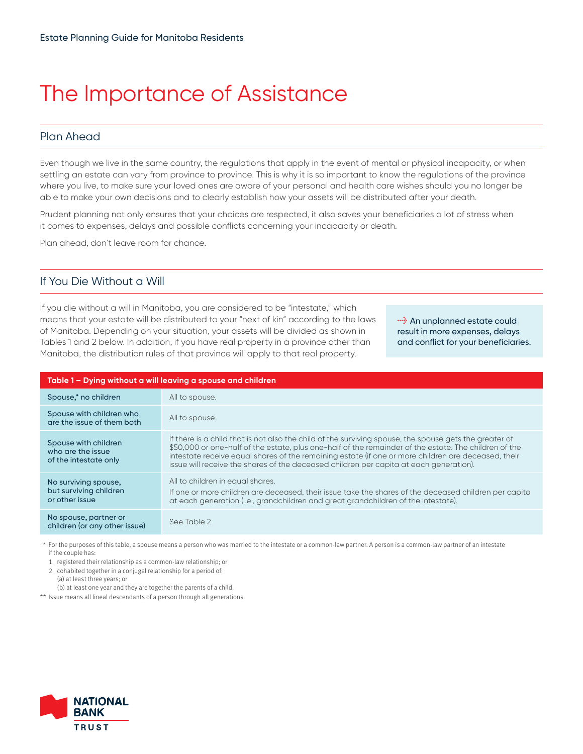# The Importance of Assistance

## Plan Ahead

Even though we live in the same country, the regulations that apply in the event of mental or physical incapacity, or when settling an estate can vary from province to province. This is why it is so important to know the regulations of the province where you live, to make sure your loved ones are aware of your personal and health care wishes should you no longer be able to make your own decisions and to clearly establish how your assets will be distributed after your death.

Prudent planning not only ensures that your choices are respected, it also saves your beneficiaries a lot of stress when it comes to expenses, delays and possible conflicts concerning your incapacity or death.

Plan ahead, don't leave room for chance.

### If You Die Without a Will

If you die without a will in Manitoba, you are considered to be "intestate," which means that your estate will be distributed to your "next of kin" according to the laws of Manitoba. Depending on your situation, your assets will be divided as shown in Tables 1 and 2 below. In addition, if you have real property in a province other than Manitoba, the distribution rules of that province will apply to that real property.

*l* An unplanned estate could result in more expenses, delays and conflict for your beneficiaries.

| Table 1 – Dying without a will leaving a spouse and children       |                                                                                                                                                                                                                                                                                                                                                                                                                  |
|--------------------------------------------------------------------|------------------------------------------------------------------------------------------------------------------------------------------------------------------------------------------------------------------------------------------------------------------------------------------------------------------------------------------------------------------------------------------------------------------|
| Spouse,* no children                                               | All to spouse.                                                                                                                                                                                                                                                                                                                                                                                                   |
| Spouse with children who<br>are the issue of them both             | All to spouse.                                                                                                                                                                                                                                                                                                                                                                                                   |
| Spouse with children<br>who are the issue<br>of the intestate only | If there is a child that is not also the child of the surviving spouse, the spouse gets the greater of<br>\$50,000 or one-half of the estate, plus one-half of the remainder of the estate. The children of the<br>intestate receive equal shares of the remaining estate (if one or more children are deceased, their<br>issue will receive the shares of the deceased children per capita at each generation). |
| No surviving spouse,<br>but surviving children<br>or other issue   | All to children in equal shares.<br>If one or more children are deceased, their issue take the shares of the deceased children per capita<br>at each generation (i.e., grandchildren and great grandchildren of the intestate).                                                                                                                                                                                  |
| No spouse, partner or<br>children (or any other issue)             | See Table 2                                                                                                                                                                                                                                                                                                                                                                                                      |

\* For the purposes of this table, a spouse means a person who was married to the intestate or a common-law partner. A person is a common-law partner of an intestate if the couple has:

1. registered their relationship as a common-law relationship; or

2. cohabited together in a conjugal relationship for a period of:

(a) at least three years; or

(b) at least one year and they are together the parents of a child.

\*\* Issue means all lineal descendants of a person through all generations.

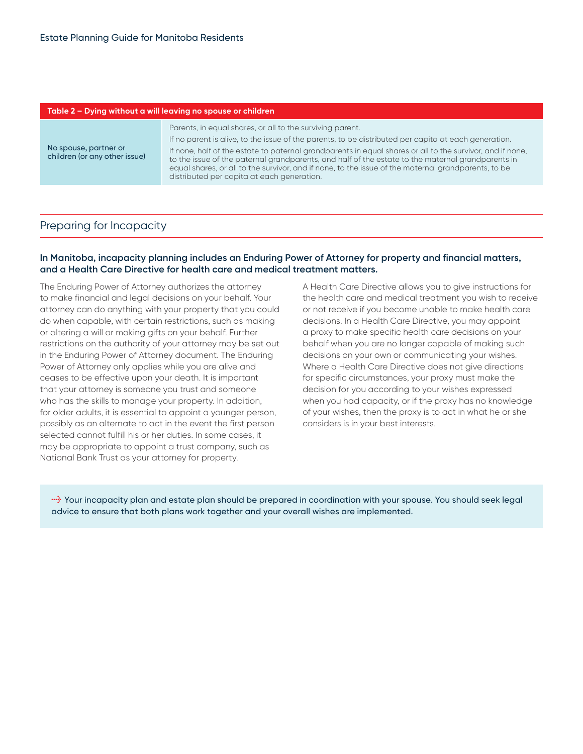| Table 2 – Dying without a will leaving no spouse or children |                                                                                                                                                                                                                                                                                                                                                                                                                                                                                                                                          |
|--------------------------------------------------------------|------------------------------------------------------------------------------------------------------------------------------------------------------------------------------------------------------------------------------------------------------------------------------------------------------------------------------------------------------------------------------------------------------------------------------------------------------------------------------------------------------------------------------------------|
| No spouse, partner or<br>children (or any other issue)       | Parents, in equal shares, or all to the surviving parent.<br>If no parent is alive, to the issue of the parents, to be distributed per capita at each generation.<br>If none, half of the estate to paternal grandparents in equal shares or all to the survivor, and if none,<br>to the issue of the paternal grandparents, and half of the estate to the maternal grandparents in<br>equal shares, or all to the survivor, and if none, to the issue of the maternal grandparents, to be<br>distributed per capita at each generation. |
|                                                              |                                                                                                                                                                                                                                                                                                                                                                                                                                                                                                                                          |

#### Preparing for Incapacity

#### **In Manitoba, incapacity planning includes an Enduring Power of Attorney for property and financial matters, and a Health Care Directive for health care and medical treatment matters.**

The Enduring Power of Attorney authorizes the attorney to make financial and legal decisions on your behalf. Your attorney can do anything with your property that you could do when capable, with certain restrictions, such as making or altering a will or making gifts on your behalf. Further restrictions on the authority of your attorney may be set out in the Enduring Power of Attorney document. The Enduring Power of Attorney only applies while you are alive and ceases to be effective upon your death. It is important that your attorney is someone you trust and someone who has the skills to manage your property. In addition, for older adults, it is essential to appoint a younger person, possibly as an alternate to act in the event the first person selected cannot fulfill his or her duties. In some cases, it may be appropriate to appoint a trust company, such as National Bank Trust as your attorney for property.

A Health Care Directive allows you to give instructions for the health care and medical treatment you wish to receive or not receive if you become unable to make health care decisions. In a Health Care Directive, you may appoint a proxy to make specific health care decisions on your behalf when you are no longer capable of making such decisions on your own or communicating your wishes. Where a Health Care Directive does not give directions for specific circumstances, your proxy must make the decision for you according to your wishes expressed when you had capacity, or if the proxy has no knowledge of your wishes, then the proxy is to act in what he or she considers is in your best interests.

**l** Your incapacity plan and estate plan should be prepared in coordination with your spouse. You should seek legal advice to ensure that both plans work together and your overall wishes are implemented.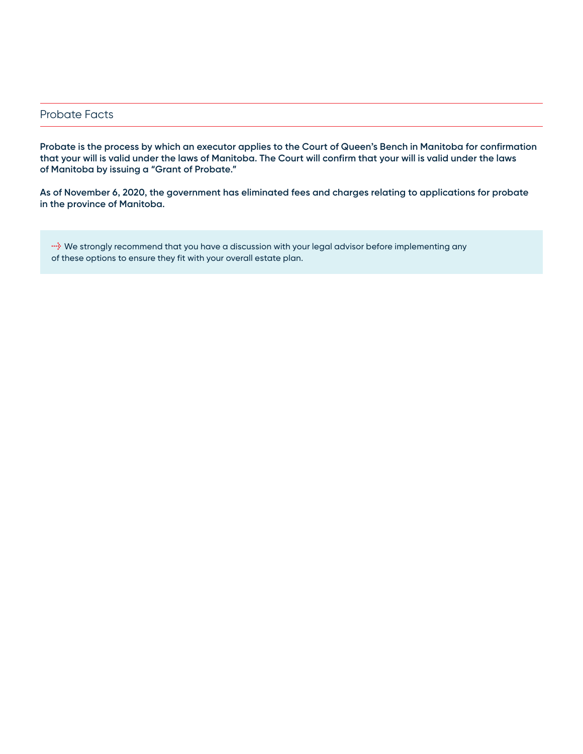#### Probate Facts

**Probate is the process by which an executor applies to the Court of Queen's Bench in Manitoba for confirmation that your will is valid under the laws of Manitoba. The Court will confirm that your will is valid under the laws of Manitoba by issuing a "Grant of Probate."** 

**As of November 6, 2020, the government has eliminated fees and charges relating to applications for probate in the province of Manitoba.**

**light** We strongly recommend that you have a discussion with your legal advisor before implementing any of these options to ensure they fit with your overall estate plan.